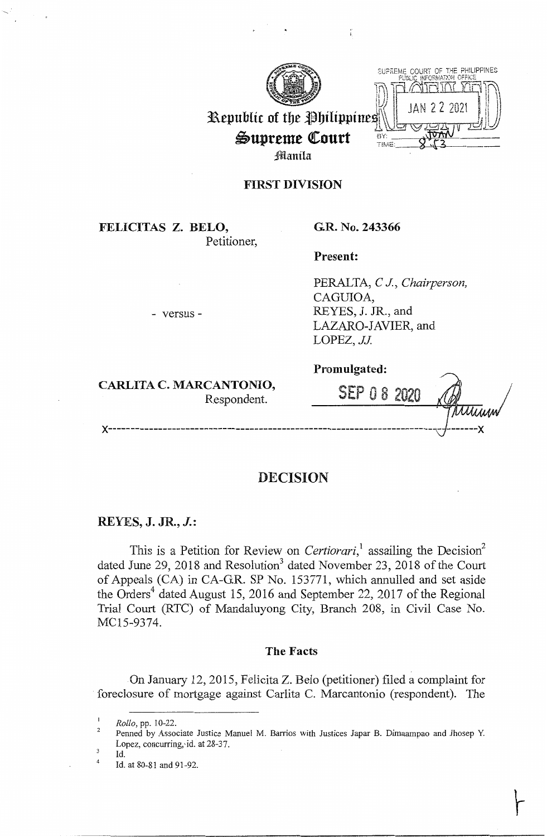



# Republic of the Philippines Supreme Court Manila

# **FIRST DIVISION**

**FELICITAS Z. BELO,**  Petitioner,

- versus -

## **G.R. No. 243366**

**Present:** 

PERALTA, *CJ, Chairperson,*  CAGUIOA, REYES, J. JR., and LAZARO-JAVIER, and LOPEZ, JJ.

**CARLITA C. MARCANTONIO,** 

**Promulgated:** 

CAN LUNIU,<br>Respondent. SEP 0 8 2020 **x------------------------------------------------------------------------- -------x** 

# **DECISION**

### **REYES, J. JR., J.:**

This is a Petition for Review on *Certiorari*,<sup>1</sup> assailing the Decision<sup>2</sup> dated June 29, 2018 and Resolution<sup>3</sup> dated November 23, 2018 of the Court of Appeals (CA) in CA-GR. SP No. 153771, which annulled and set aside the Orders<sup>4</sup> dated August 15, 2016 and September 22, 2017 of the Regional Trial Court (RTC) of Mandaluyong City, Branch 208, in Civil Case No. MC15-9374.

### **The Facts**

On January 12, 2015, Felicita Z. Belo (petitioner) filed a complaint for foreclosure of mortgage against Carlita C. Marcantonio (respondent). The

4 Id.

*Rollo, pp. 10-22.* 

 $\overline{2}$ Penned by Associate Justice Manuel M. Barrios with Justices Japar B. Dimaampao and Jhosep Y. Lopez, concurring, id. at 28-37.

Id. at 80-81 and 91-92.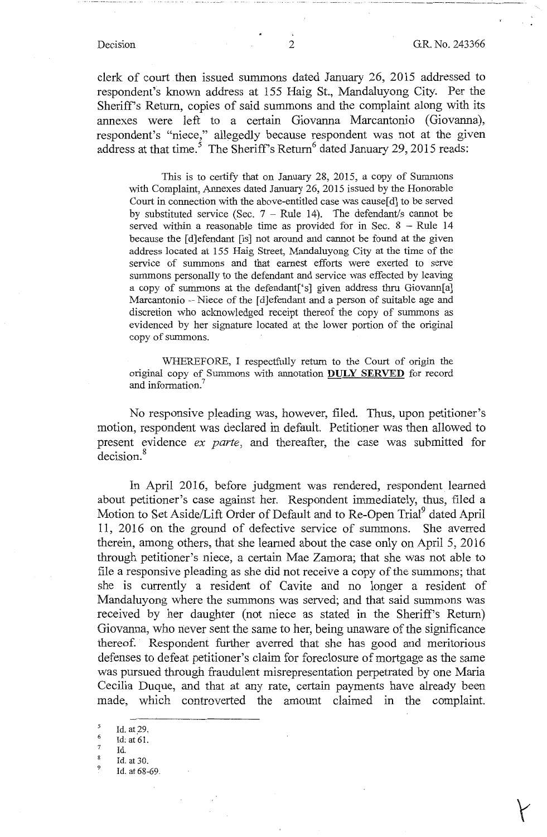···--···-----· ---- \_\_\_\_\_\_\_\_ L\_. \_\_\_ \_

clerk of court then issued summons dated January 26, 2015 addressed to respondent's known address at 155 Haig St., Mandaluyong City. Per the Sheriff's Return, copies of said summons and the complaint along with its annexes were left to a certain Giovanna Marcantonio (Giovanna), respondent's "niece," allegedly because respondent was not at the given address at that time.<sup>5</sup> The Sheriff's Return<sup>6</sup> dated January 29, 2015 reads:

This is to certify that on January 28, 2015, a copy of Summons with Complaint, Annexes dated January 26, 2015 issued by the Honorable Court in connection with the above-entitled case was cause  $[d]$  to be served by substituted service (Sec.  $7 - \text{Rule } 14$ ). The defendant/s cannot be served within a reasonable time as provided for in Sec.  $8 -$  Rule 14 because the [d]efendant [is] not around and cannot be found at the given address located at 155 Haig Street, Mandaluyong City at the time of the service of summons and that earnest efforts were exerted to serve summons personally to the defendant and service was effected by leaving a copy of summons at the defendant['s] given address thru Giovann[a] Marcantonio - Niece of the [d]efendant and a person of suitable age and discretion who acknowledged receipt thereof the copy of summons as evidenced by her signature located at the lower portion of the original copy of summons.

WHEREFORE, I respectfully return to the Court of origin the original copy of Summons with annotation **DULY SERVED** for record and information.<sup>7</sup>

No responsive pleading was, however, filed. Thus, upon petitioner's motion, respondent was declared in default. Petitioner was then allowed to present evidence *ex parte,* and thereafter, the case was submitted for decision. <sup>8</sup>

In April 2016, before judgment was rendered, respondent learned about petitioner's case against her. Respondent immediately, thus, filed a Motion to Set Aside/Lift Order of Default and to Re-Open Trial<sup>9</sup> dated April 11, 2016 on the ground of defective service of summons. She averred therein, among others, that she learned about the case only on April 5, 2016 through petitioner's niece, a certain Mae Zamora; that she was not able to file a responsive pleading as she did not receive a copy of the summons; that she is currently a resident of Cavite and no longer a resident of Mandaluyong where the summons was served; and that said summons was received by her daughter (not niece as stated in the Sheriff's Return) Giovanna, who never sent the same to her, being unaware of the significance thereof. Respondent further averred that she has good and meritorious defenses to defeat petitioner's claim for foreclosure of mortgage as the same was pursued through fraudulent misrepresentation perpetrated by one Maria Cecilia Duque, and that at any rate, certain payments have already been made, which controverted the amount claimed in the complaint.

- $\frac{6}{7}$  Id: at 61.<br>8 Id.
- 
- Id. at 30.
- Id. at 68-69.

 $\frac{5}{6}$  Id. at 29.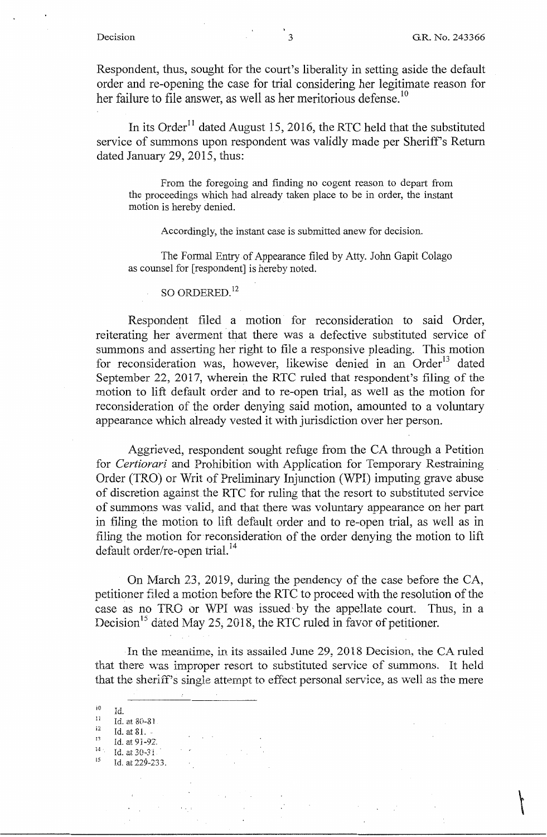$\overline{\mathcal{L}}$ 

Respondent, thus, sought for the court's liberality in setting aside the default order and re-opening the case for trial considering her legitimate reason for her failure to file answer, as well as her meritorious defense.<sup>10</sup>

In its Order<sup>11</sup> dated August 15, 2016, the RTC held that the substituted service of summons upon respondent was validly made per Sheriff's Return dated January 29, 2015, thus:

From the foregoing and finding no cogent reason to depart from the proceedings which had already taken place to be in order, the instant motion is hereby denied.

Accordingly, the instant case is submitted anew for decision.

The Formal Entry of Appearance filed by Atty. John Gapit Colago as counsel for [respondent] is hereby noted.

SO ORDERED.<sup>12</sup>

Respondent filed a motion for reconsideration to said Order, reiterating her averment that there was a defective substituted service of summons and asserting her right to file a responsive pleading. This motion for reconsideration was, however, likewise denied in an Order<sup>13</sup> dated September 22, 2017, wherein the RTC ruled that respondent's filing of the motion to lift default order and to re-open trial, as well as the motion for reconsideration of the order denying said motion, amounted to a voluntary appearance which already vested it with jurisdiction over her person.

Aggrieved, respondent sought refuge from the CA through a Petition for *Certiorari* and Prohibition with Application for Temporary Restraining Order (TRO) or Writ of Preliminary Injunction (WPI) imputing grave abuse of discretion against the RTC for ruling that the resort to substituted service of summons was valid, and that there was voluntary appearance on her part in filing the motion to lift default order and to re-open trial, as well as in filing the motion for reconsideration of the order denying the motion to lift default order/re-open trial.<sup>14</sup>

On March 23, 2019, during the pendency of the case before the CA, petitioner filed a motion before the RTC to proceed with the resolution of the case as no TRO or WPI was issued by the appellate court. Thus, in a Decision<sup>15</sup> dated May 25, 2018, the RTC ruled in favor of petitioner.

In the meantime, in its assailed June 29, 2018 Decision, the CA ruled that there was improper resort to substituted service of summons. It held that the sheriff's single attempt to effect personal service, as well as the mere

 $I_d$  $11$ i2 13 14 Id. at 30-3 *i* . Id. at 80-81. Id. at 81. .. Id. at 9i-92:.

 $15$  Id. at 229-233.

 $\mathcal{O}(\mathcal{F}_1)$ 

 $\bar{z}$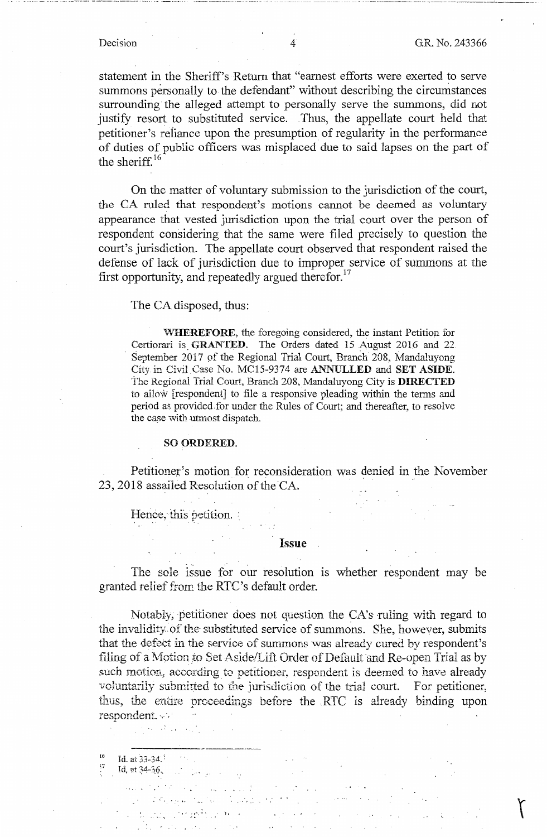statement in the Sheriff's Return that "earnest efforts were exerted to serve summons personally to the defendant" without describing the circumstances surrounding the alleged attempt to personally serve the summons, did not justify resort to substituted service. Thus, the appellate court held that petitioner's reliance upon the presumption of regularity in the performance of duties of public officers was misplaced due to said lapses on the part of the sheriff. $16$ 

On the matter of voluntary submission to the jurisdiction of the court, the CA ruled that respondent's motions cannot be deemed as voluntary appearance that vested jurisdiction upon the trial court over the person of respondent considering that the same were filed precisely to question the court's jurisdiction. The appellate court observed that respondent raised the defense of lack of jurisdiction due to improper service of summons at the first opportunity, and repeatedly argued therefor. $^{17}$ 

The CA disposed, thus:

**\,v'HEREFORE,** the foregoing considered, the instant Petition for Certiorari is GRANTED. The Orders dated 15 August 2016 and 22. . September 2017 of the Regional Trial Court, Branch 208, Mandaluyong City in Civil Case No. MC15-9374 are **ANNULLED** and **SET ASIDE.**  The Regional Trial Court, Branch 208, Mandaluyong City is **DIRECTED**  to allow· [respondent] to file a responsive pleading within the terms and period as provided for under the Rules of Court; and thereafter, to resolve the case with utmost dispatch.

### **SO ORDERED.**

Petitioner's motion for reconsideration was denied in the November 23, 2018 assailed Resolution of the CA.

Hence, this petition.

### **Issue**

The sole issue for our resolution is whether respondent may be granted relief from the RTC's default order.

Notably, petitioner does not question the CA's ruling with regard to the invalidity of the substituted service of summons. She, however, submits that the defect in the service of summons was already cured by respondent's filing of a Motion to Set Aside/Lift Order of Default and Re-open Trial as by such motion, according to petitioner, respondent is deemed to have already voluntarily submitted to the jurisdiction of the trial court. For petitioner, thus, the entire proceedings before the RTC is already binding upon respondent.

 $\sim$   $\sim$ 

Id. at  $33-34$ :

 $\gamma$  and  $\gamma$  and  $\gamma$  and  $\gamma$ 

t

**Id.** at 34-36. الموارد والمراجعة والأمر

• -. ' . • . ~ *i.* • •.

 $\mathcal{L}(\mathcal{L}^{\mathcal{L}})$  , where  $\mathcal{L}^{\mathcal{L}}$  , where  $\mathcal{L}^{\mathcal{L}}$ 

*·1•·* -r"\_.,, I•

------ -------- ..... ---------- --------------------- ----- ... -- --- . -------------------------- ------ .. , --------------------- -------------------- ------------------------------------'---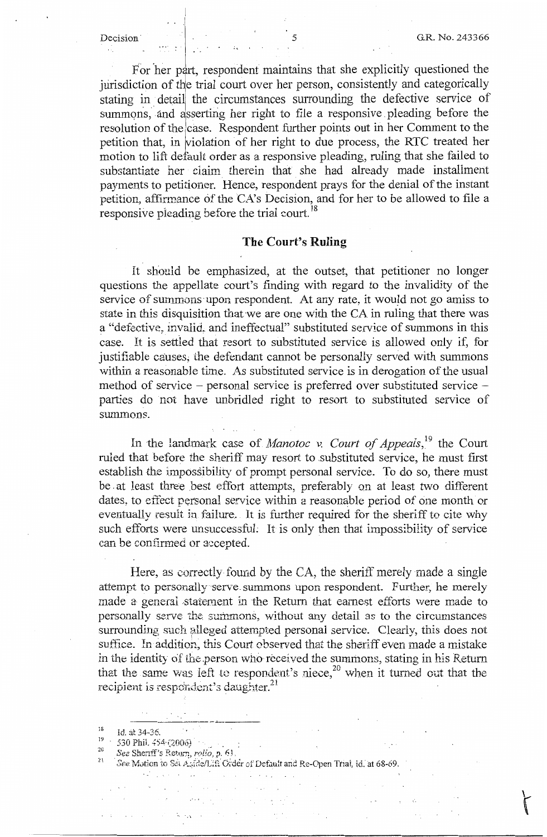For her part, respondent maintains that she explicitly questioned the jurisdiction of the trial court over her person, consistently and categorically stating in detail the circumstances surrounding the defective service of summons, and asserting her right to file a responsive pleading before the resolution of the case. Respondent further points out in her Comment to the petition that, in violation of her right to due process, the RTC treated her motion to lift default order as a responsive pleading, ruling that she failed to substantiate her claim therein that she had already made installment payments to petitioner. Hence, respondent prays for the denial of the instant petition, affirmance of the CA's Decision, and for her to be allowed to file a responsive pleading before the trial court.<sup>18</sup>

### **The Court's Ruling**

It should be emphasized, at the outset, that petitioner no longer questions the appellate court's fmding with regard to the invalidity of the service of summons upon respondent. At any rate, it would not go amiss to state in this disquisition that we are one with the CA in ruling that there was a "defective, invalid, and ineffectual" substituted service of summons in this case. It is settled that resort to substituted service is allowed only if, for justifiable causes; the defendant cannot be personally served with summons within a reasonable time. As substituted service is in derogation of the usual method of service - personal service is preferred over substituted service parties do not have unbridled right to resort to substituted service of summons.

In the landmark case of *Manotoc v. Court of Appeals*, <sup>19</sup> the Court ruled that before the sheriff may resort to .substituted service, he must first establish the impossibility of prompt personal service. To do so, there must be at least three best effort attempts, preferably on at least two different dates, to effect personal service within a reasonable period of one month or eventually result in failure. It is further required for the sheriff to cite why such efforts were unsuccessful. It is only then that impossibility of service can be confirmed or accepted.

 $\label{eq:2.1} \mathcal{L}^{\mathcal{A}}(\mathcal{A}) = \mathcal{L}^{\mathcal{A}}(\mathcal{A}) = \mathcal{L}^{\mathcal{A}}(\mathcal{A}) = \mathcal{L}^{\mathcal{A}}(\mathcal{A}) = \mathcal{L}^{\mathcal{A}}(\mathcal{A})$ 

Here, as correctly found by the CA, the sheriff merely made a single attempt to personally serve summons upon respondent. Further, he merely made a general statement in the Return that earnest efforts were made to personally serve the summons, without any detail as to the circumstances surrounding such alleged attempted personal service. Clearly, this does not suffice. In addition, this Court observed that the sheriff even made a mistake in the identity of the person who received the summons, stating in his Return that the same was left to respondent's niece,<sup>20</sup> when it turned out that the recipient is respondent's daughter.<sup>21</sup>

 $\frac{d\mathbf{y}}{d\mathbf{y}}$  , where  $\mathbf{y}$  is  $\mathbf{y}$ 

 $\mathcal{A}_{\frac{1}{2}}$ 

<sup>18</sup> id. at 34-36.<br><sup>19</sup> 530 Phil. 454·(2006)<br><sup>20</sup> *See* Sheriff's Return, *rolio*, p. 61.<br><sup>21</sup> See Mation to Retual at 120 Chart

 $\label{eq:2.1} \mathcal{F}(\mathcal{F}) = \mathcal{F}(\mathcal{F}) \mathcal{F}(\mathcal{F}) = \mathcal{F}(\mathcal{F}) \mathcal{F}(\mathcal{F}) = \mathcal{F}(\mathcal{F}) \mathcal{F}(\mathcal{F}) = \mathcal{F}(\mathcal{F}) \mathcal{F}(\mathcal{F}) = \mathcal{F}(\mathcal{F}) \mathcal{F}(\mathcal{F})$ 

See Motion to Set Aside/Lift Order of Default and Re-Open Trial, id. at 68-69. المواط وأوجعت والمتوارث والمتعارف والمتحاول تحفير

 $\sim$  km  $^{-1}$  km  $\theta_{\rm{max}}$  and  $\theta_{\rm{max}}$  are the second contract of

 $\label{eq:2.1} \mathcal{L}_{\mathbf{A}}(\mathbf{x},\mathbf{y}) = \mathcal{L}_{\mathbf{A}}(\mathbf{x},\mathbf{y}) = \mathcal{L}_{\mathbf{A}}(\mathbf{x},\mathbf{y}) = \mathcal{L}_{\mathbf{A}}(\mathbf{x},\mathbf{y}) = \mathcal{L}_{\mathbf{A}}(\mathbf{x},\mathbf{y}) = \mathcal{L}_{\mathbf{A}}(\mathbf{x},\mathbf{y}) = \mathcal{L}_{\mathbf{A}}(\mathbf{x},\mathbf{y})$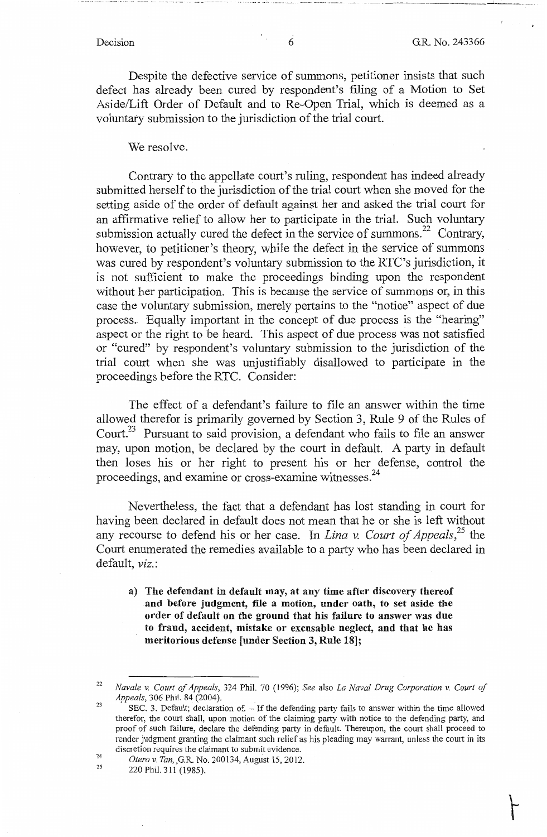Despite the defective service of summons, petitioner insists that such defect has already been cured by respondent's filing of a Motion to Set Aside/Lift Order of Default and to Re-Open Trial, which is deemed as a voluntary submission to the jurisdiction of the trial court.

### We resolve.

Contrary to the appellate court's ruling, respondent has indeed already submitted herself to the jurisdiction of the trial court when she moved for the setting aside of the order of default against her and asked the trial court for an affirmative relief to allow her to participate in the trial. Such voluntary submission actually cured the defect in the service of summons.<sup>22</sup> Contrary, however, to petitioner's theory, while the defect in the service of summons was cured by respondent's voluntary submission to the RTC's jurisdiction, it is not sufficient to make the proceedings binding upon the respondent without her participation. This is because the service of summons or, in this case the voluntary submission, merely pertains to the "notice" aspect of due process.. Equally important in the concept of due process is the "hearing" aspect or the right to be heard. This aspect of due process was not satisfied or "cured" by respondent's voluntary submission to the jurisdiction of the trial court when she was unjustifiably disallowed to participate in the proceedings before the RTC. Consider:

The effect of a defendant's failure to file an answer within the time allowed therefor is primarily governed by Section 3, Rule 9 of the Rules of Court.<sup>23</sup> Pursuant to said provision, a defendant who fails to file an answer may, upon motion, be declared by the court in default. A party in default then loses his or her right to present his or her defense, control the proceedings, and examine or cross-examine witnesses.<sup>24</sup>

Nevertheless, the fact that a defendant has lost standing in court for having been declared in default does not mean that he or she is left without any recourse to defend his or her case. In *Lina* v. *Court of Appeals,25* the Court enumerated the remedies available to a party who has been declared in default, *viz.* :

**a) The defendant** in **default may, at any time after discovery thereof and before judgment, file a motion, under oath, to set aside the order of default on the ground that his failure to answer was due to fraud, accident, mistake or excusable neglect, and that he has meritorious defense [under Section 3, Rule 18];** 

25

 $k_{\perp}$  , and the construction of the construction of the matrix of the construction of the construction of the construction of the construction of the construction of the construction of the construction of the construc

<sup>22</sup>*Navale v. Court of Appeals,* 324 Phil. 70 (1996); *See* also *La Naval Drug Corporation v. Court of Appeals*, 306 Phil. 84 (2004).

<sup>24</sup>  SEC. 3. Default; declaration of. - If the defending party fails to answer within the time allowed therefor, the court shall, upon motion of the claiming party with notice to the defending party, and proof of such failure, declare the defending party in default. Thereupon, the court shall proceed to render judgment granting the claimant such relief as his pleading may warrant, unless the court in its discretion requires the claimant to submit evidence.

*Otero v. Tan,,G.R.* No. 200134, August 15, 2012.

<sup>220</sup> Phil. 311 (1985).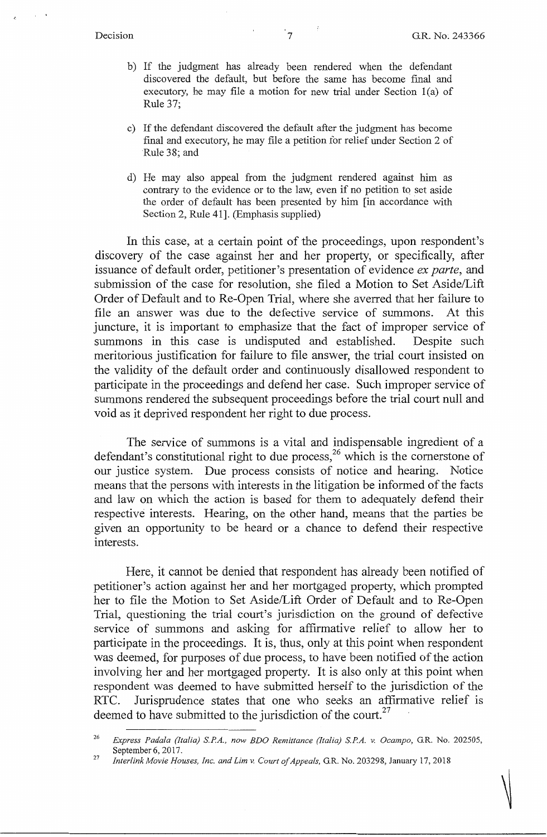- b) If the judgment has already been rendered when the defendant discovered the default, but before the same has become final and executory, he may file a motion for new trial under Section l(a) of Rule 37;
- c) If the defendant discovered the default after the judgment has become final and executory, he may file a petition for relief under Section 2 of Rule 38; and
- d) He may also appeal from the judgment rendered against him as contrary to the evidence or to the law, even if no petition to set aside the order of default has been presented by him [in accordance with Section 2, Rule 41]. (Emphasis supplied)

In this case, at a certain point of the proceedings, upon respondent's discovery of the case against her and her property, or specifically, after issuance of default order, petitioner's presentation of evidence *ex parte,* and submission of the case for resolution, she filed a Motion to Set Aside/Lift Order of Default and to Re-Open Trial, where she averred that her failure to file an answer was due to the defective service of summons. At this juncture, it is important to emphasize that the fact of improper service of summons in this case is undisputed and established. Despite such meritorious justification for failure to file answer, the trial court insisted on the validity of the default order and continuously disallowed respondent to participate in the proceedings and defend her case. Such improper service of summons rendered the subsequent proceedings before the trial court null and void as it deprived respondent her right to due process.

The service of summons is a vital and indispensable ingredient of a defendant's constitutional right to due process,  $2<sup>6</sup>$  which is the cornerstone of our justice system. Due process consists of notice and hearing. Notice means that the persons with interests in the litigation be informed of the facts and law on which the action is based for them to adequately defend their respective interests. Hearing, on the other hand, means that the parties be given an opportunity to be heard or a chance to defend their respective interests.

Here, it cannot be denied that respondent has already been notified of petitioner's action against her and her mortgaged property, which prompted her to file the Motion to Set Aside/Lift Order of Default and to Re-Open Trial, questioning the trial court's jurisdiction on the ground of defective service of summons and asking for affirmative relief to allow her to participate in the proceedings. It is, thus, only at this point when respondent was deemed, for purposes of due process, to have been notified of the action involving her and her mortgaged property. It is also only at this point when respondent was deemed to have submitted herself to the jurisdiction of the RTC. Jurisprudence states that one who seeks an affirmative relief is deemed to have submitted to the jurisdiction of the court.<sup>27</sup>

<sup>26</sup>*Express Padala (Italia) SPA., now BDO Remittance (Ita/;a) SPA. v. Ocampo,* G.R. No. 202505, September 6, 2017. 27 *Interlink Movie Houses, Inc. and Lim v. Court of Appeals,* G.R. No. 203298, January 17, 2018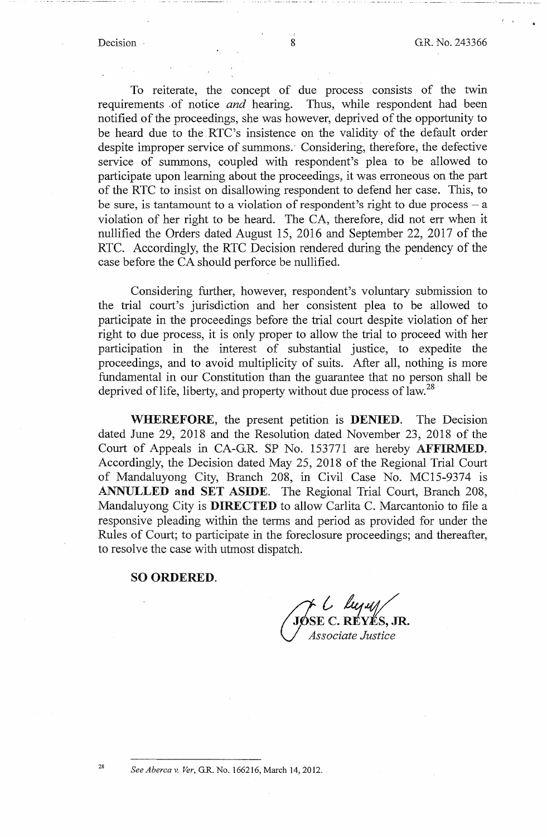To reiterate, the concept of due process consists of the twin requirements ,of notice *and* hearing. Thus, while respondent had been notified of the proceedings, she was however, deprived of the opportunity to be heard due to the RTC's insistence on the validity of the default order despite improper service of summons. Considering, therefore, the defective service of summons, coupled with respondent's plea to be allowed to participate upon learning about the proceedings, it was erroneous on the part of the RTC to insist on disallowing respondent to defend her case. This, to be sure, is tantamount to a violation of respondent's right to due process  $-$  a violation of her right to be heard. The CA, therefore, did not err when it nullified the Orders dated August 15, 2016 and September 22, 2017 of the RTC. Accordingly, the RTC Decision rendered during the pendency of the case before the CA should perforce be nullified.

Considering further, however, respondent's voluntary submission to the trial court's jurisdiction and her consistent plea to be allowed to participate in the proceedings before the trial court despite violation of her right to due process, it is only proper to allow the trial to proceed with her participation in the interest of substantial justice, to expedite the proceedings, and to avoid multiplicity of suits. After all, nothing is more fundamental in our Constitution than the guarantee that no person shall be deprived of life, liberty, and property without due process of law.<sup>28</sup>

**WHEREFORE,** the present petition is **DENIED.** The Decision dated June 29, 2018 and the Resolution dated November 23, 2018 of the Court of Appeals in CA-G.R. SP No. 153771 are hereby **AFFIRMED.**  Accordingly, the Decision dated May 25, 2018 of the Regional Trial Court of Mandaluyong City, Branch 208, in Civil Case No. MC15-9374 is **ANNULLED and SET ASIDE.** The Regional Trial Court, Branch 208, Mandaluyong City is **DIRECTED** to allow Carlita C. Marcantonio to file a responsive pleading within the terms and period as provided for under the Rules of Court; to participate in the foreclosure proceedings; and thereafter, to resolve the case with utmost dispatch.

### **SO ORDERED.**

*JØSE C. RÉYËS, JR. V~ssociate Justice* 

<sup>28</sup>*See Aberca v. Ver,* G.R. No. 166216, March 14, 2012.